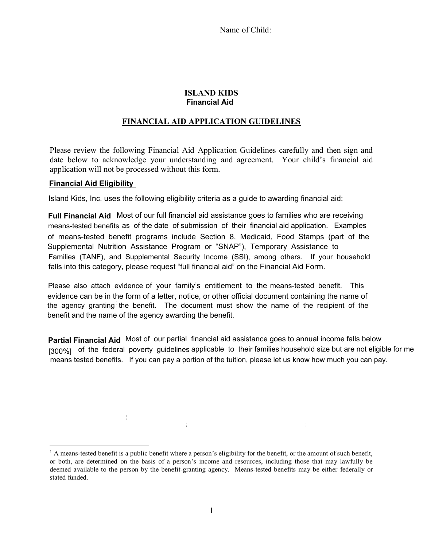Name of Child:

#### **ISLAND KIDS Financial Aid**

# **FINANCIAL AID APPLICATION GUIDELINES**

Please review the following Financial Aid Application Guidelines carefully and then sign and date below to acknowledge your understanding and agreement. Your child's financial aid application will not be processed without this form.

#### **IRS-Verified Transcript of Tax Return or Verification of Nonfiling Financial Aid Eligibility**

Island Kids, Inc. uses the following eligibility criteria as a guide to awarding financial aid:

**Full Financial Aid** Most of our full financial aid assistance goes to families who are receiving means-tested benefits as of the date of submission of their financial aid application. Examples of means-tested benefit programs include Section 8, Medicaid, Food Stamps (part of the Supplemental Nutrition Assistance Program or "SNAP"), Temporary Assistance to falls into this category, please request "full financial aid" on the Financial Aid Form. Families (TANF), and Supplemental Security Income (SSI), among others. If your household

Please also attach evidence of your family's entitlement to the means-tested benefit. This the agency granting the benefit. The document must show the name of the recipient of the benefit and the name of the agency awarding the benefit. of means-tested benefit programs include Section 8, Medicaid, Food Stamps (part of the evidence can be in the form of a letter, notice, or other official document containing the name of

**Partial Financial Aid** Most of our partial financial aid assistance goes to annual income falls below [300%] of the federal poverty guidelines applicable to their families household size but are not eligible for me means tested benefits. If you can pay a portion of the tuition, please let us know how much you can pay.

**Partial Financial Aid**:Most of our partial financial aid assistance goes to families with a total

<sup>&</sup>lt;sup>1</sup> A means-tested benefit is a public benefit where a person's eligibility for the benefit, or the amount of such benefit, or both, are determined on the basis of a person's income and resources, including those that may lawfully be deemed available to the person by the benefit-granting agency. Means-tested benefits may be either federally or stated funded.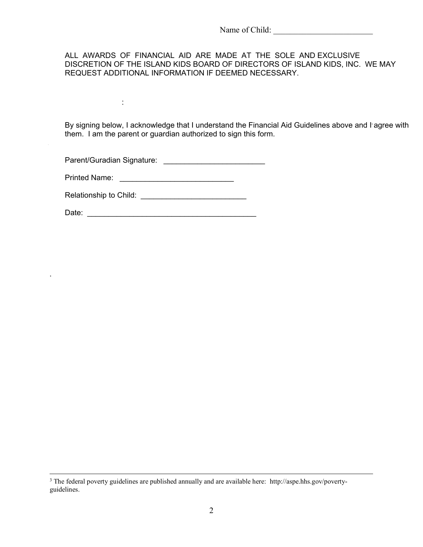#### ALL AWARDS OF FINANCIAL AID ARE MADE AT THE SOLE AND EXCLUSIVE DISCRETION OF THE ISLAND KIDS BOARD OF DIRECTORS OF ISLAND KIDS, INC. WE MAY REQUEST ADDITIONAL INFORMATION IF DEEMED NECESSARY.

**Other Financial Aid**: We generally consider financial aid applications from households with a

By signing below, I acknowledge that I understand the Financial Aid Guidelines above and I agree with financial responsibility for extended family members). *We cannot grant financial aid due to*  them. I am the parent or guardian authorized to sign this form. *financial strains arising because a child is enrolled in other childcare programs or other* 

household is eligible for financial assistance due to extenuating circumstances, please submit a Parent/Guradian Signature: \_\_\_\_\_\_\_\_\_\_\_\_\_\_\_\_\_\_\_\_\_\_\_\_

Printed Name: \_\_\_\_\_\_\_\_\_\_\_\_\_\_\_\_\_\_\_\_\_\_\_\_\_\_\_

:

PLEASE REQUEST FINANCIAL AID ONLY FOR THE WEEKS YOU ARE CERTAIN YOUR CHILD WILL BE IN ATTENDANCE AT ISLAND KIDS SUMMER CAMP. PLEASE Relationship to Child: \_\_\_\_\_\_\_\_\_\_\_\_\_\_\_\_\_\_\_\_\_\_\_\_\_

LOSS OF FINANCIAL AID.

 $\overline{a}$ 

.

Data:<br>Data: PLANS TO BE AWAY, PLEASE DO NOT ENROLL YOUR CHILD FOR THOSE WEEKS Date: \_\_\_\_\_\_\_\_\_\_\_\_\_\_\_\_\_\_\_\_\_\_\_\_\_\_\_\_\_\_\_\_\_\_\_\_\_\_\_\_

<sup>&</sup>lt;sup>3</sup> The federal poverty guidelines are published annually and are available here: http://aspe.hhs.gov/povertyguidelines.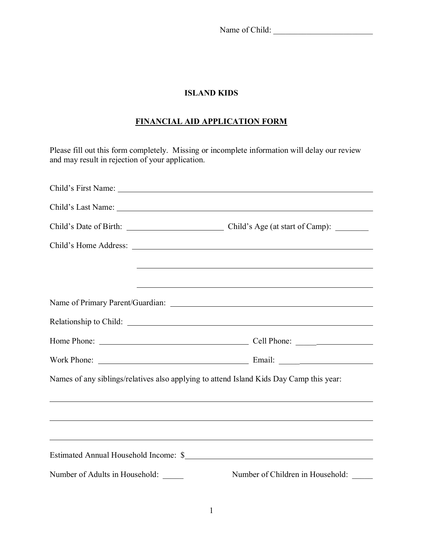Name of Child: \_\_\_\_\_\_\_\_\_\_\_\_\_\_\_\_\_\_\_\_\_\_\_\_

# **ISLAND KIDS**

# **FINANCIAL AID APPLICATION FORM**

Please fill out this form completely. Missing or incomplete information will delay our review and may result in rejection of your application.

| Names of any siblings/relatives also applying to attend Island Kids Day Camp this year: |                                                                                                                      |  |
|-----------------------------------------------------------------------------------------|----------------------------------------------------------------------------------------------------------------------|--|
|                                                                                         |                                                                                                                      |  |
|                                                                                         | <u> 1989 - Andrea Santa Andrea Santa Andrea Santa Andrea Santa Andrea Santa Andrea Santa Andrea Santa Andrea San</u> |  |
|                                                                                         | ,我们也不会有什么。""我们的人,我们也不会有什么?""我们的人,我们也不会有什么?""我们的人,我们也不会有什么?""我们的人,我们也不会有什么?""我们的人                                     |  |
|                                                                                         |                                                                                                                      |  |
| Number of Adults in Household: _____                                                    | Number of Children in Household: _____                                                                               |  |